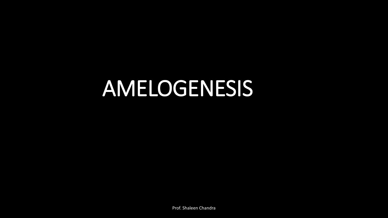# AMELOGENESIS

Prof. Shaleen Chandra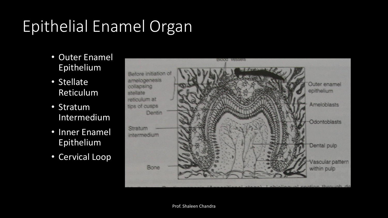# Epithelial Enamel Organ

- Outer Enamel Epithelium
- Stellate Reticulum
- Stratum Intermedium
- Inner Enamel Epithelium
- Cervical Loop

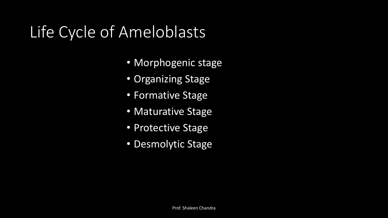# Life Cycle of Ameloblasts

- Morphogenic stage
- Organizing Stage
- Formative Stage
- Maturative Stage
- Protective Stage
- Desmolytic Stage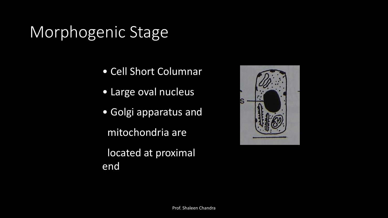## Morphogenic Stage

end

- Cell Short Columnar
- Large oval nucleus
- Golgi apparatus and mitochondria are located at proximal

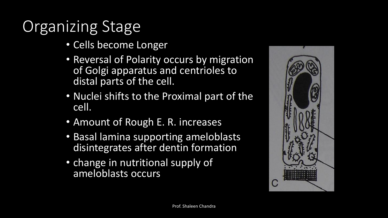# Organizing Stage

- Cells become Longer
- Reversal of Polarity occurs by migration of Golgi apparatus and centrioles to distal parts of the cell.
- Nuclei shifts to the Proximal part of the cell.
- Amount of Rough E. R. increases
- Basal lamina supporting ameloblasts disintegrates after dentin formation
- change in nutritional supply of ameloblasts occurs

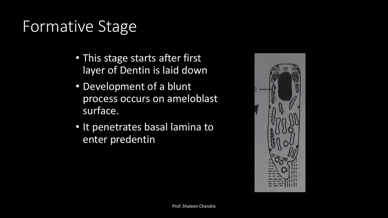## Formative Stage

- This stage starts after first layer of Dentin is laid down
- Development of a blunt process occurs on ameloblast surface.
- It penetrates basal lamina to enter predentin

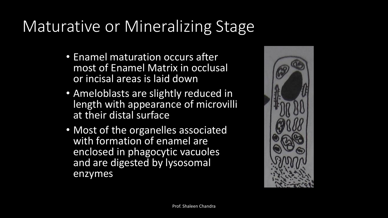# Maturative or Mineralizing Stage

- Enamel maturation occurs after most of Enamel Matrix in occlusal or incisal areas is laid down
- Ameloblasts are slightly reduced in length with appearance of microvilli at their distal surface
- Most of the organelles associated with formation of enamel are enclosed in phagocytic vacuoles and are digested by lysosomal enzymes

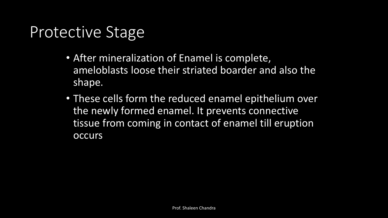#### Protective Stage

- After mineralization of Enamel is complete, ameloblasts loose their striated boarder and also the shape.
- These cells form the reduced enamel epithelium over the newly formed enamel. It prevents connective tissue from coming in contact of enamel till eruption **occurs**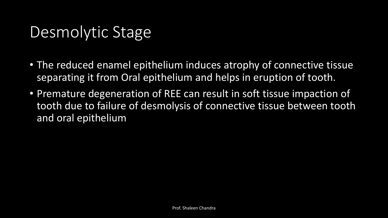## Desmolytic Stage

- The reduced enamel epithelium induces atrophy of connective tissue separating it from Oral epithelium and helps in eruption of tooth.
- Premature degeneration of REE can result in soft tissue impaction of tooth due to failure of desmolysis of connective tissue between tooth and oral epithelium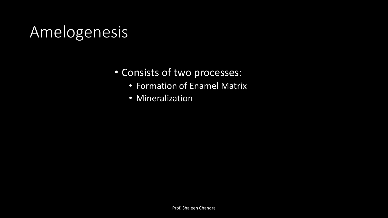## Amelogenesis

- Consists of two processes:
	- Formation of Enamel Matrix
	- Mineralization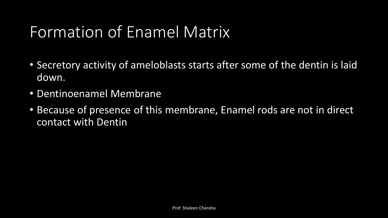## Formation of Enamel Matrix

- Secretory activity of ameloblasts starts after some of the dentin is laid down.
- Dentinoenamel Membrane
- Because of presence of this membrane, Enamel rods are not in direct contact with Dentin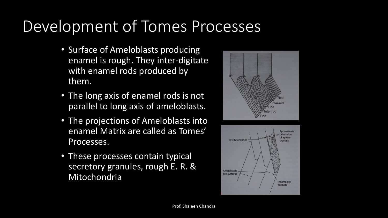## Development of Tomes Processes

- Surface of Ameloblasts producing enamel is rough. They inter-digitate with enamel rods produced by them.
- The long axis of enamel rods is not parallel to long axis of ameloblasts.
- The projections of Ameloblasts into enamel Matrix are called as Tomes' Processes.
- These processes contain typical secretory granules, rough E. R. & Mitochondria



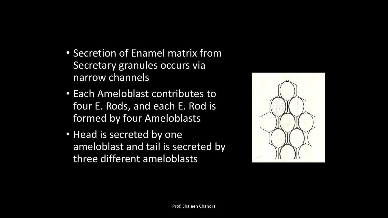- Secretion of Enamel matrix from Secretary granules occurs via narrow channels
- Each Ameloblast contributes to four E. Rods, and each E. Rod is formed by four Ameloblasts
- Head is secreted by one ameloblast and tail is secreted by three different ameloblasts

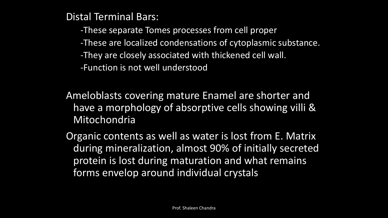Distal Terminal Bars:

-These separate Tomes processes from cell proper

-These are localized condensations of cytoplasmic substance.

-They are closely associated with thickened cell wall.

-Function is not well understood

Ameloblasts covering mature Enamel are shorter and have a morphology of absorptive cells showing villi & Mitochondria

Organic contents as well as water is lost from E. Matrix during mineralization, almost 90% of initially secreted protein is lost during maturation and what remains forms envelop around individual crystals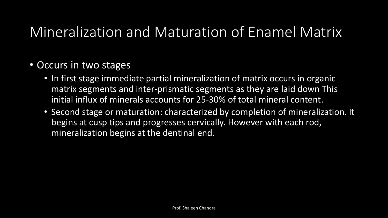#### Mineralization and Maturation of Enamel Matrix

- Occurs in two stages
	- In first stage immediate partial mineralization of matrix occurs in organic matrix segments and inter-prismatic segments as they are laid down This initial influx of minerals accounts for 25-30% of total mineral content.
	- Second stage or maturation: characterized by completion of mineralization. It begins at cusp tips and progresses cervically. However with each rod, mineralization begins at the dentinal end.